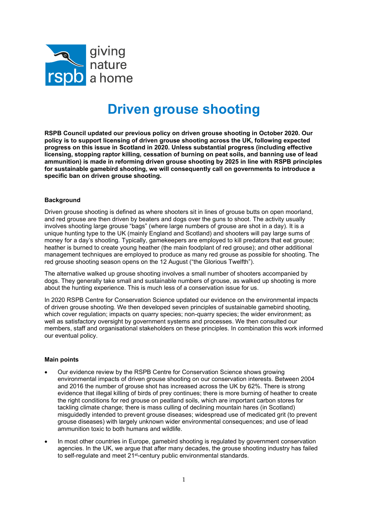

## Driven grouse shooting

RSPB Council updated our previous policy on driven grouse shooting in October 2020. Our policy is to support licensing of driven grouse shooting across the UK, following expected progress on this issue in Scotland in 2020. Unless substantial progress (including effective licensing, stopping raptor killing, cessation of burning on peat soils, and banning use of lead ammunition) is made in reforming driven grouse shooting by 2025 in line with RSPB principles for sustainable gamebird shooting, we will consequently call on governments to introduce a specific ban on driven grouse shooting.

## **Background**

Driven grouse shooting is defined as where shooters sit in lines of grouse butts on open moorland, and red grouse are then driven by beaters and dogs over the guns to shoot. The activity usually involves shooting large grouse "bags" (where large numbers of grouse are shot in a day). It is a unique hunting type to the UK (mainly England and Scotland) and shooters will pay large sums of money for a day's shooting. Typically, gamekeepers are employed to kill predators that eat grouse; heather is burned to create young heather (the main foodplant of red grouse); and other additional management techniques are employed to produce as many red grouse as possible for shooting. The red grouse shooting season opens on the 12 August ("the Glorious Twelfth").

The alternative walked up grouse shooting involves a small number of shooters accompanied by dogs. They generally take small and sustainable numbers of grouse, as walked up shooting is more about the hunting experience. This is much less of a conservation issue for us.

In 2020 RSPB Centre for Conservation Science updated our evidence on the environmental impacts of driven grouse shooting. We then developed seven principles of sustainable gamebird shooting, which cover regulation; impacts on quarry species; non-quarry species; the wider environment; as well as satisfactory oversight by government systems and processes. We then consulted our members, staff and organisational stakeholders on these principles. In combination this work informed our eventual policy.

## Main points

- Our evidence review by the RSPB Centre for Conservation Science shows growing environmental impacts of driven grouse shooting on our conservation interests. Between 2004 and 2016 the number of grouse shot has increased across the UK by 62%. There is strong evidence that illegal killing of birds of prey continues; there is more burning of heather to create the right conditions for red grouse on peatland soils, which are important carbon stores for tackling climate change; there is mass culling of declining mountain hares (in Scotland) misguidedly intended to prevent grouse diseases; widespread use of medicated grit (to prevent grouse diseases) with largely unknown wider environmental consequences; and use of lead ammunition toxic to both humans and wildlife.
- In most other countries in Europe, gamebird shooting is regulated by government conservation agencies. In the UK, we argue that after many decades, the grouse shooting industry has failed to self-regulate and meet 21<sup>st-</sup>century public environmental standards.